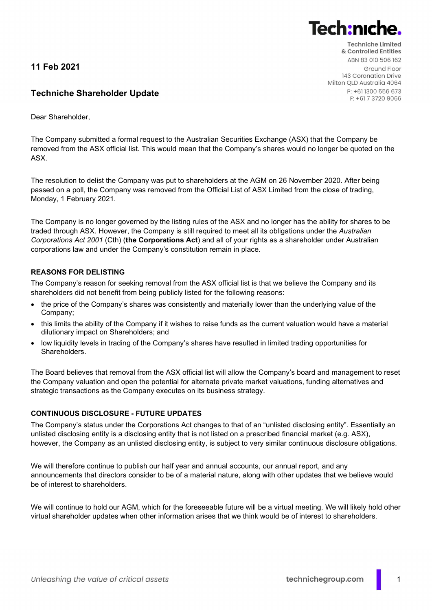11 Feb 2021

# Techniche Shareholder Update

Dear Shareholder,

The Company submitted a formal request to the Australian Securities Exchange (ASX) that the Company be removed from the ASX official list. This would mean that the Company's shares would no longer be quoted on the ASX.

The resolution to delist the Company was put to shareholders at the AGM on 26 November 2020. After being passed on a poll, the Company was removed from the Official List of ASX Limited from the close of trading, Monday, 1 February 2021.

The Company is no longer governed by the listing rules of the ASX and no longer has the ability for shares to be traded through ASX. However, the Company is still required to meet all its obligations under the Australian Corporations Act 2001 (Cth) (the Corporations Act) and all of your rights as a shareholder under Australian corporations law and under the Company's constitution remain in place.

## REASONS FOR DELISTING

The Company's reason for seeking removal from the ASX official list is that we believe the Company and its shareholders did not benefit from being publicly listed for the following reasons:

- the price of the Company's shares was consistently and materially lower than the underlying value of the Company;
- this limits the ability of the Company if it wishes to raise funds as the current valuation would have a material dilutionary impact on Shareholders; and
- low liquidity levels in trading of the Company's shares have resulted in limited trading opportunities for Shareholders.

The Board believes that removal from the ASX official list will allow the Company's board and management to reset the Company valuation and open the potential for alternate private market valuations, funding alternatives and strategic transactions as the Company executes on its business strategy.

## CONTINUOUS DISCLOSURE - FUTURE UPDATES

The Company's status under the Corporations Act changes to that of an "unlisted disclosing entity". Essentially an unlisted disclosing entity is a disclosing entity that is not listed on a prescribed financial market (e.g. ASX), however, the Company as an unlisted disclosing entity, is subject to very similar continuous disclosure obligations.

We will therefore continue to publish our half year and annual accounts, our annual report, and any announcements that directors consider to be of a material nature, along with other updates that we believe would be of interest to shareholders.

We will continue to hold our AGM, which for the foreseeable future will be a virtual meeting. We will likely hold other virtual shareholder updates when other information arises that we think would be of interest to shareholders.



F: +61 7 3720 9066

**Tech:nic**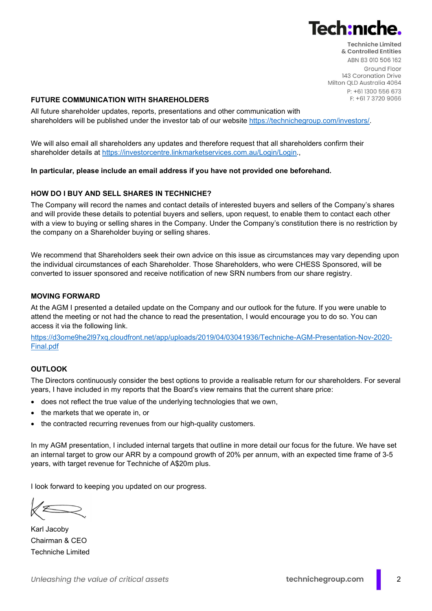

**Techniche Limited** & Controlled Entities ABN 83 010 506 162 Ground Floor 143 Coronation Drive Milton QLD Australia 4064 P: +611300 556 673 F: +61 7 3720 9066

### FUTURE COMMUNICATION WITH SHAREHOLDERS

All future shareholder updates, reports, presentations and other communication with shareholders will be published under the investor tab of our website https://technichegroup.com/investors/.

We will also email all shareholders any updates and therefore request that all shareholders confirm their shareholder details at https://investorcentre.linkmarketservices.com.au/Login/Login.,

#### In particular, please include an email address if you have not provided one beforehand.

#### HOW DO I BUY AND SELL SHARES IN TECHNICHE?

The Company will record the names and contact details of interested buyers and sellers of the Company's shares and will provide these details to potential buyers and sellers, upon request, to enable them to contact each other with a view to buying or selling shares in the Company. Under the Company's constitution there is no restriction by the company on a Shareholder buying or selling shares.

We recommend that Shareholders seek their own advice on this issue as circumstances may vary depending upon the individual circumstances of each Shareholder. Those Shareholders, who were CHESS Sponsored, will be converted to issuer sponsored and receive notification of new SRN numbers from our share registry.

#### MOVING FORWARD

At the AGM I presented a detailed update on the Company and our outlook for the future. If you were unable to attend the meeting or not had the chance to read the presentation, I would encourage you to do so. You can access it via the following link.

https://d3ome9he2l97xq.cloudfront.net/app/uploads/2019/04/03041936/Techniche-AGM-Presentation-Nov-2020- Final.pdf

#### **OUTLOOK**

The Directors continuously consider the best options to provide a realisable return for our shareholders. For several years, I have included in my reports that the Board's view remains that the current share price:

- does not reflect the true value of the underlying technologies that we own,
- the markets that we operate in, or
- the contracted recurring revenues from our high-quality customers.

In my AGM presentation, I included internal targets that outline in more detail our focus for the future. We have set an internal target to grow our ARR by a compound growth of 20% per annum, with an expected time frame of 3-5 years, with target revenue for Techniche of A\$20m plus.

I look forward to keeping you updated on our progress.

Karl Jacoby Chairman & CEO Techniche Limited